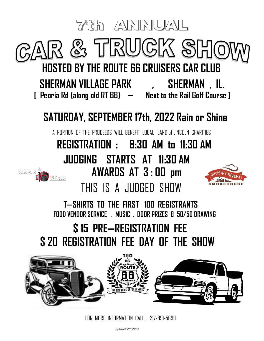

FOR MORE INFORMATION CALL : 217-891-5699